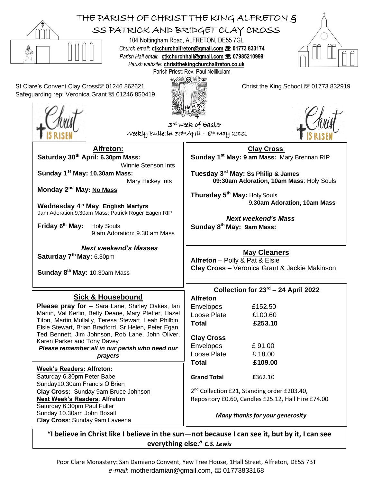

*Please remember all in our parish who need our prayers*

**Week's Readers: Alfreton:** Saturday 6.30pm Peter Babe Sunday10.30am Francis O'Brien **Clay Cross:** Sunday 9am Bruce Johnson **Next Week's Readers**: **Alfreton** Saturday 6.30pm Paul Fuller Sunday 10.30am John Boxall C**lay Cross**: Sunday 9am Laveena

## Envelopes £ 91.00

Loose Plate £ 18.00 **Total £109.00**

**Grand Total £**362.10

2<sup>nd</sup> Collection £21, Standing order £203.40, Repository £0.60, Candles £25.12, Hall Hire £74.00

*Many thanks for your generosity*

**"I believe in Christ like I believe in the sun—not because I can see it, but by it, I can see everything else."** *C.S. Lewis*